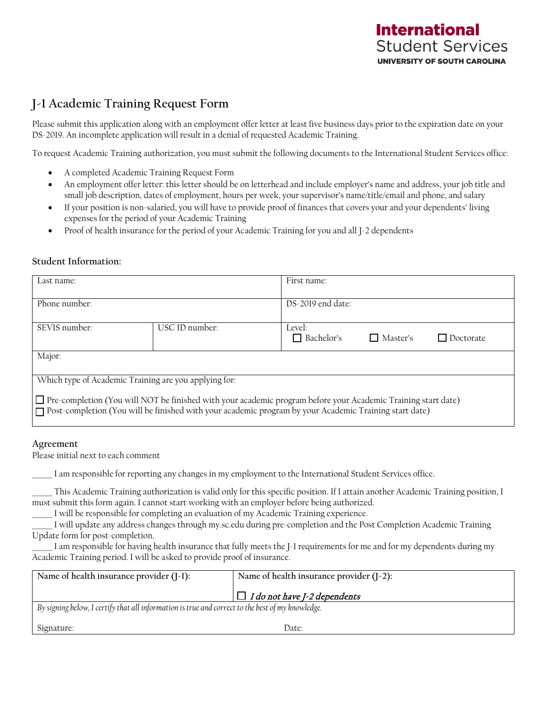## **International Student Services UNIVERSITY OF SOUTH CAROLINA**

## **J-1 Academic Training Request Form**

Please submit this application along with an employment offer letter at least five business days prior to the expiration date on your DS-2019. An incomplete application will result in a denial of requested Academic Training.

To request Academic Training authorization, you must submit the following documents to the International Student Services office:

- A completed Academic Training Request Form
- An employment offer letter: this letter should be on letterhead and include employer's name and address, your job title and small job description, dates of employment, hours per week, your supervisor's name/title/email and phone, and salary
- If your position is non-salaried, you will have to provide proof of finances that covers your and your dependents' living expenses for the period of your Academic Training
- Proof of health insurance for the period of your Academic Training for you and all J-2 dependents

#### **Student Information:**

| Last name:                                                                                                                                                                                                                        |                | First name:                 |            |           |  |
|-----------------------------------------------------------------------------------------------------------------------------------------------------------------------------------------------------------------------------------|----------------|-----------------------------|------------|-----------|--|
| Phone number:                                                                                                                                                                                                                     |                | DS-2019 end date:           |            |           |  |
| SEVIS number:                                                                                                                                                                                                                     | USC ID number: | Level:<br>$\Box$ Bachelor's | □ Master's | Doctorate |  |
| Major:                                                                                                                                                                                                                            |                |                             |            |           |  |
| Which type of Academic Training are you applying for:                                                                                                                                                                             |                |                             |            |           |  |
| $\Box$ Pre-completion (You will NOT be finished with your academic program before your Academic Training start date)<br> ┌ Post-completion (You will be finished with your academic program by your Academic Training start date) |                |                             |            |           |  |

#### **Agreement**

Please initial next to each comment

\_\_\_\_\_\_ I am responsible for reporting any changes in my employment to the International Student Services office.

\_\_\_\_\_\_ This Academic Training authorization is valid only for this specific position. If I attain another Academic Training position, I must submit this form again. I cannot start working with an employer before being authorized.

I will be responsible for completing an evaluation of my Academic Training experience.

\_\_\_\_\_\_ I will update any address changes through my.sc.edu during pre-completion and the Post Completion Academic Training Update form for post-completion.

I am responsible for having health insurance that fully meets the J-1 requirements for me and for my dependents during my Academic Training period. I will be asked to provide proof of insurance.

| Name of health insurance provider $(I-1)$ :                                                           | Name of health insurance provider $(I-2)$ : |  |  |  |
|-------------------------------------------------------------------------------------------------------|---------------------------------------------|--|--|--|
|                                                                                                       | $ \Box$ I do not have J-2 dependents        |  |  |  |
| $'$ By signing below, I certify that all information is true and correct to the best of my knowledge. |                                             |  |  |  |

Signature: Date: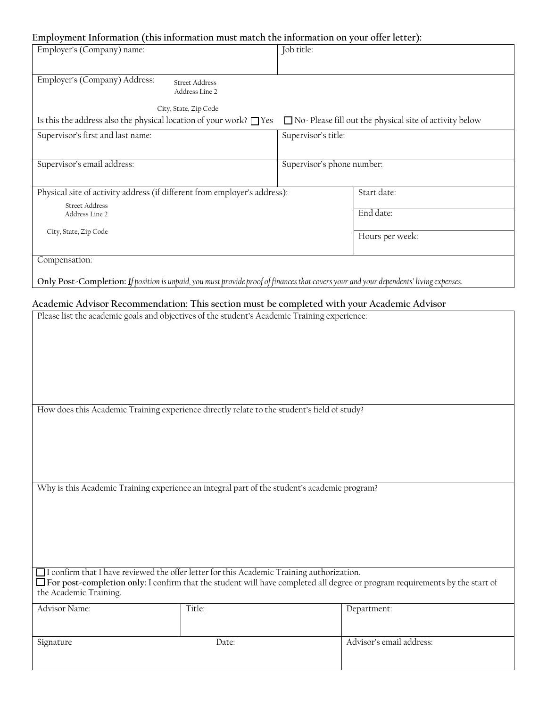## **Employment Information (this information must match the information on your offer letter):**

| Employer's (Company) name:                                                                                                             | Job title:                                                     |  |  |  |  |
|----------------------------------------------------------------------------------------------------------------------------------------|----------------------------------------------------------------|--|--|--|--|
|                                                                                                                                        |                                                                |  |  |  |  |
| Employer's (Company) Address:<br><b>Street Address</b><br>Address Line 2                                                               |                                                                |  |  |  |  |
| City, State, Zip Code                                                                                                                  |                                                                |  |  |  |  |
| Is this the address also the physical location of your work? $\Box$ Yes                                                                | $\Box$ No- Please fill out the physical site of activity below |  |  |  |  |
| Supervisor's first and last name:                                                                                                      | Supervisor's title:                                            |  |  |  |  |
|                                                                                                                                        |                                                                |  |  |  |  |
| Supervisor's email address:                                                                                                            | Supervisor's phone number:                                     |  |  |  |  |
|                                                                                                                                        |                                                                |  |  |  |  |
| Physical site of activity address (if different from employer's address):                                                              | Start date:                                                    |  |  |  |  |
| <b>Street Address</b>                                                                                                                  |                                                                |  |  |  |  |
| Address Line 2                                                                                                                         | End date:                                                      |  |  |  |  |
| City, State, Zip Code                                                                                                                  |                                                                |  |  |  |  |
|                                                                                                                                        | Hours per week:                                                |  |  |  |  |
|                                                                                                                                        |                                                                |  |  |  |  |
| Compensation:                                                                                                                          |                                                                |  |  |  |  |
|                                                                                                                                        |                                                                |  |  |  |  |
| Only Post-Completion: If position is unpaid, you must provide proof of finances that covers your and your dependents' living expenses. |                                                                |  |  |  |  |

|                        | Academic Advisor Recommendation: This section must be completed with your Academic Advisor                                                                                                                                 |                          |  |  |  |
|------------------------|----------------------------------------------------------------------------------------------------------------------------------------------------------------------------------------------------------------------------|--------------------------|--|--|--|
|                        | Please list the academic goals and objectives of the student's Academic Training experience:                                                                                                                               |                          |  |  |  |
|                        | How does this Academic Training experience directly relate to the student's field of study?                                                                                                                                |                          |  |  |  |
|                        |                                                                                                                                                                                                                            |                          |  |  |  |
|                        | Why is this Academic Training experience an integral part of the student's academic program?                                                                                                                               |                          |  |  |  |
| the Academic Training. | I confirm that I have reviewed the offer letter for this Academic Training authorization.<br>□ For post-completion only: I confirm that the student will have completed all degree or program requirements by the start of |                          |  |  |  |
| Advisor Name:          | Title:                                                                                                                                                                                                                     | Department:              |  |  |  |
| Signature              | Date:                                                                                                                                                                                                                      | Advisor's email address: |  |  |  |